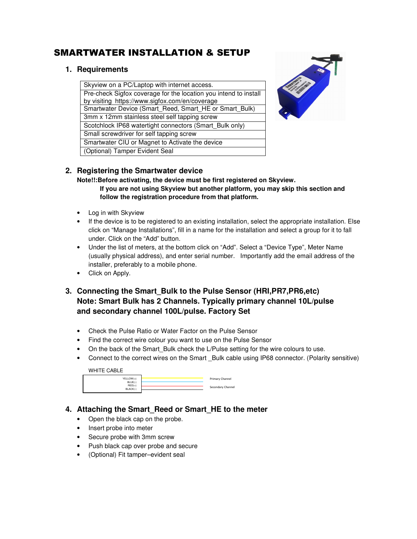# SMARTWATER INSTALLATION & SETUP

## **1. Requirements**

Skyview on a PC/Laptop with internet access. Pre-check Sigfox coverage for the location you intend to install by visiting https://www.sigfox.com/en/coverage Smartwater Device (Smart\_Reed, Smart\_HE or Smart\_Bulk) 3mm x 12mm stainless steel self tapping screw Scotchlock IP68 watertight connectors (Smart\_Bulk only) Small screwdriver for self tapping screw Smartwater CIU or Magnet to Activate the device (Optional) Tamper Evident Seal



## **2. Registering the Smartwater device**

**Note!!:Before activating, the device must be first registered on Skyview. If you are not using Skyview but another platform, you may skip this section and follow the registration procedure from that platform.** 

- Log in with Skyview
- If the device is to be registered to an existing installation, select the appropriate installation. Else click on "Manage Installations", fill in a name for the installation and select a group for it to fall under. Click on the "Add" button.
- Under the list of meters, at the bottom click on "Add". Select a "Device Type", Meter Name (usually physical address), and enter serial number. Importantly add the email address of the installer, preferably to a mobile phone.
- Click on Apply.
- **3. Connecting the Smart\_Bulk to the Pulse Sensor (HRI,PR7,PR6,etc) Note: Smart Bulk has 2 Channels. Typically primary channel 10L/pulse and secondary channel 100L/pulse. Factory Set** 
	- Check the Pulse Ratio or Water Factor on the Pulse Sensor
	- Find the correct wire colour you want to use on the Pulse Sensor
	- On the back of the Smart Bulk check the L/Pulse setting for the wire colours to use.
	- Connect to the correct wires on the Smart Bulk cable using IP68 connector. (Polarity sensitive)

WHITE CABLE

| $YELLOW(+)$<br>$BLUE(-)$<br>$RED(+)$<br>BLACK(-) | Primary Channel   |
|--------------------------------------------------|-------------------|
|                                                  |                   |
|                                                  | Secondary Channel |
|                                                  |                   |

# **4. Attaching the Smart\_Reed or Smart\_HE to the meter**

- Open the black cap on the probe.
- Insert probe into meter
- Secure probe with 3mm screw
- Push black cap over probe and secure
- (Optional) Fit tamper–evident seal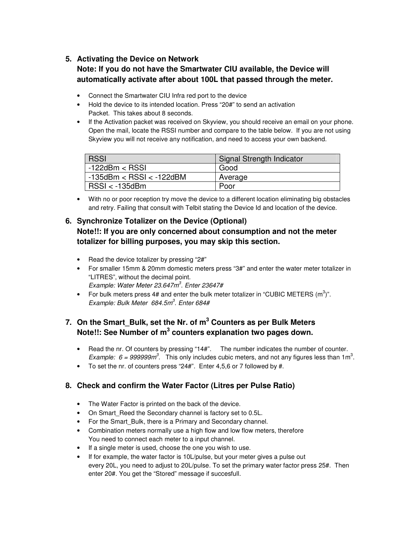#### **5. Activating the Device on Network**

# **Note: If you do not have the Smartwater CIU available, the Device will automatically activate after about 100L that passed through the meter.**

- Connect the Smartwater CIU Infra red port to the device
- Hold the device to its intended location. Press "20#" to send an activation Packet. This takes about 8 seconds.
- If the Activation packet was received on Skyview, you should receive an email on your phone. Open the mail, locate the RSSI number and compare to the table below. If you are not using Skyview you will not receive any notification, and need to access your own backend.

| <b>RSSI</b>                    | Signal Strength Indicator |
|--------------------------------|---------------------------|
| $-122$ dBm $<$ RSSI            | Good                      |
| $-135$ dBm < RSSI < $-122$ dBM | Average                   |
| $RSSI < -135dBm$               | Poor                      |

• With no or poor reception try move the device to a different location eliminating big obstacles and retry. Failing that consult with Telbit stating the Device Id and location of the device.

# **6. Synchronize Totalizer on the Device (Optional) Note!!: If you are only concerned about consumption and not the meter totalizer for billing purposes, you may skip this section.**

- Read the device totalizer by pressing "2#"
- For smaller 15mm & 20mm domestic meters press "3#" and enter the water meter totalizer in "LITRES", without the decimal point. *Example: Water Meter 23.647m<sup>3</sup> . Enter 23647#*
- For bulk meters press 4# and enter the bulk meter totalizer in "CUBIC METERS  $(m^3)$ ". *Example: Bulk Meter 684.5m<sup>3</sup> . Enter 684#*

# **7. On the Smart\_Bulk, set the Nr. of m<sup>3</sup> Counters as per Bulk Meters Note!!: See Number of m<sup>3</sup> counters explanation two pages down.**

- Read the nr. Of counters by pressing "14#". The number indicates the number of counter. *Example: 6 = 999999m<sup>3</sup>.* This only includes cubic meters, and not any figures less than 1m<sup>3</sup>.
- To set the nr. of counters press "24#". Enter 4,5,6 or 7 followed by #.

## **8. Check and confirm the Water Factor (Litres per Pulse Ratio)**

- The Water Factor is printed on the back of the device.
- On Smart Reed the Secondary channel is factory set to 0.5L.
- For the Smart Bulk, there is a Primary and Secondary channel.
- Combination meters normally use a high flow and low flow meters, therefore You need to connect each meter to a input channel.
- If a single meter is used, choose the one you wish to use.
- If for example, the water factor is 10L/pulse, but your meter gives a pulse out every 20L, you need to adjust to 20L/pulse. To set the primary water factor press 25#. Then enter 20#. You get the "Stored" message if succesfull.